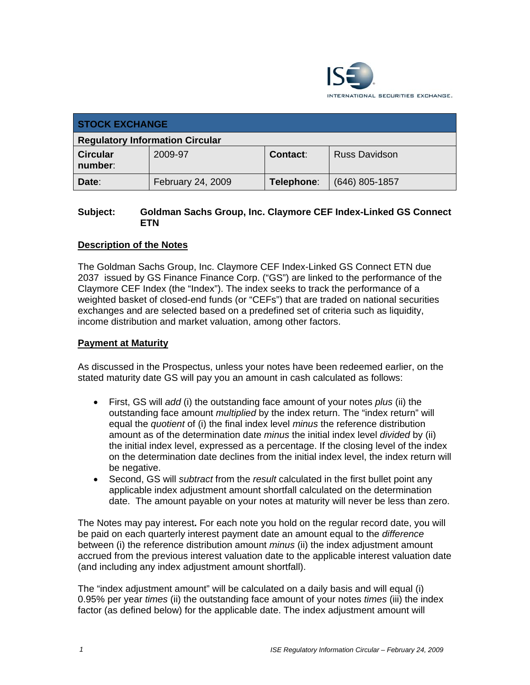

| <b>STOCK EXCHANGE</b>                  |                   |                 |                      |  |  |
|----------------------------------------|-------------------|-----------------|----------------------|--|--|
| <b>Regulatory Information Circular</b> |                   |                 |                      |  |  |
| <b>Circular</b><br>number:             | 2009-97           | <b>Contact:</b> | <b>Russ Davidson</b> |  |  |
| Date:                                  | February 24, 2009 | Telephone:      | $(646)$ 805-1857     |  |  |

## **Subject: Goldman Sachs Group, Inc. Claymore CEF Index-Linked GS Connect ETN**

# **Description of the Notes**

The Goldman Sachs Group, Inc. Claymore CEF Index-Linked GS Connect ETN due 2037 issued by GS Finance Finance Corp. ("GS") are linked to the performance of the Claymore CEF Index (the "Index"). The index seeks to track the performance of a weighted basket of closed-end funds (or "CEFs") that are traded on national securities exchanges and are selected based on a predefined set of criteria such as liquidity, income distribution and market valuation, among other factors.

### **Payment at Maturity**

As discussed in the Prospectus, unless your notes have been redeemed earlier, on the stated maturity date GS will pay you an amount in cash calculated as follows:

- First, GS will *add* (i) the outstanding face amount of your notes *plus* (ii) the outstanding face amount *multiplied* by the index return. The "index return" will equal the *quotient* of (i) the final index level *minus* the reference distribution amount as of the determination date *minus* the initial index level *divided* by (ii) the initial index level, expressed as a percentage. If the closing level of the index on the determination date declines from the initial index level, the index return will be negative.
- Second, GS will *subtract* from the *result* calculated in the first bullet point any applicable index adjustment amount shortfall calculated on the determination date. The amount payable on your notes at maturity will never be less than zero.

The Notes may pay interest**.** For each note you hold on the regular record date, you will be paid on each quarterly interest payment date an amount equal to the *difference*  between (i) the reference distribution amount *minus* (ii) the index adjustment amount accrued from the previous interest valuation date to the applicable interest valuation date (and including any index adjustment amount shortfall).

The "index adjustment amount" will be calculated on a daily basis and will equal (i) 0.95% per year *times* (ii) the outstanding face amount of your notes *times* (iii) the index factor (as defined below) for the applicable date. The index adjustment amount will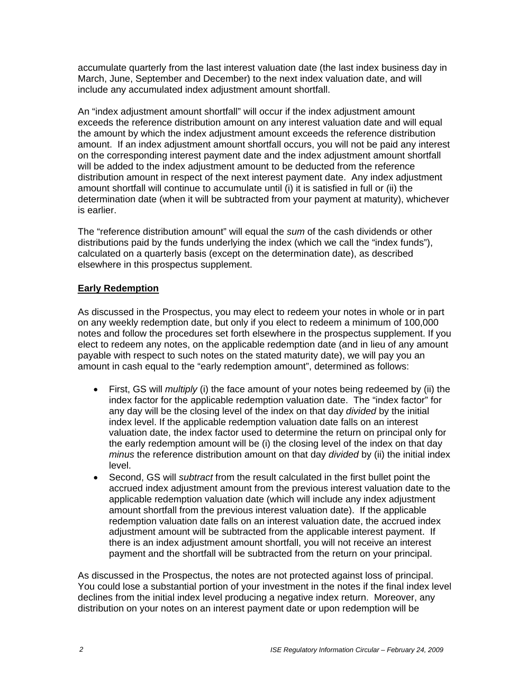accumulate quarterly from the last interest valuation date (the last index business day in March, June, September and December) to the next index valuation date, and will include any accumulated index adjustment amount shortfall.

An "index adjustment amount shortfall" will occur if the index adjustment amount exceeds the reference distribution amount on any interest valuation date and will equal the amount by which the index adjustment amount exceeds the reference distribution amount. If an index adjustment amount shortfall occurs, you will not be paid any interest on the corresponding interest payment date and the index adjustment amount shortfall will be added to the index adjustment amount to be deducted from the reference distribution amount in respect of the next interest payment date. Any index adjustment amount shortfall will continue to accumulate until (i) it is satisfied in full or (ii) the determination date (when it will be subtracted from your payment at maturity), whichever is earlier.

The "reference distribution amount" will equal the *sum* of the cash dividends or other distributions paid by the funds underlying the index (which we call the "index funds"), calculated on a quarterly basis (except on the determination date), as described elsewhere in this prospectus supplement.

# **Early Redemption**

As discussed in the Prospectus, you may elect to redeem your notes in whole or in part on any weekly redemption date, but only if you elect to redeem a minimum of 100,000 notes and follow the procedures set forth elsewhere in the prospectus supplement. If you elect to redeem any notes, on the applicable redemption date (and in lieu of any amount payable with respect to such notes on the stated maturity date), we will pay you an amount in cash equal to the "early redemption amount", determined as follows:

- First, GS will *multiply* (i) the face amount of your notes being redeemed by (ii) the index factor for the applicable redemption valuation date. The "index factor" for any day will be the closing level of the index on that day *divided* by the initial index level. If the applicable redemption valuation date falls on an interest valuation date, the index factor used to determine the return on principal only for the early redemption amount will be (i) the closing level of the index on that day *minus* the reference distribution amount on that day *divided* by (ii) the initial index level.
- Second, GS will *subtract* from the result calculated in the first bullet point the accrued index adjustment amount from the previous interest valuation date to the applicable redemption valuation date (which will include any index adjustment amount shortfall from the previous interest valuation date). If the applicable redemption valuation date falls on an interest valuation date, the accrued index adjustment amount will be subtracted from the applicable interest payment. If there is an index adjustment amount shortfall, you will not receive an interest payment and the shortfall will be subtracted from the return on your principal.

As discussed in the Prospectus, the notes are not protected against loss of principal. You could lose a substantial portion of your investment in the notes if the final index level declines from the initial index level producing a negative index return. Moreover, any distribution on your notes on an interest payment date or upon redemption will be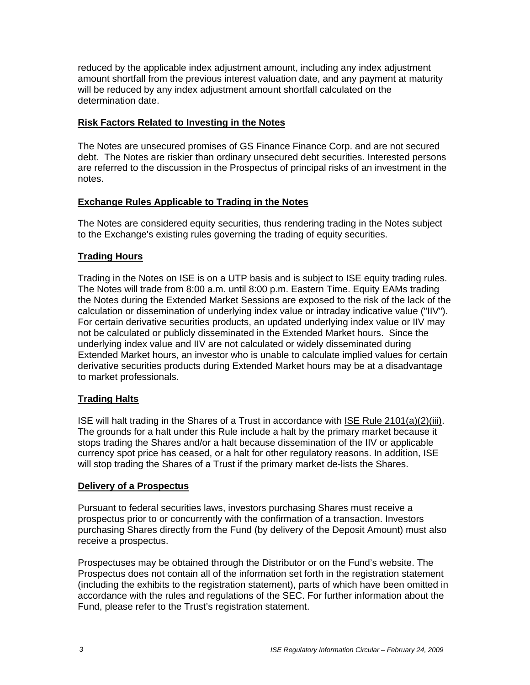reduced by the applicable index adjustment amount, including any index adjustment amount shortfall from the previous interest valuation date, and any payment at maturity will be reduced by any index adjustment amount shortfall calculated on the determination date.

### **Risk Factors Related to Investing in the Notes**

The Notes are unsecured promises of GS Finance Finance Corp. and are not secured debt. The Notes are riskier than ordinary unsecured debt securities. Interested persons are referred to the discussion in the Prospectus of principal risks of an investment in the notes.

# **Exchange Rules Applicable to Trading in the Notes**

The Notes are considered equity securities, thus rendering trading in the Notes subject to the Exchange's existing rules governing the trading of equity securities.

# **Trading Hours**

Trading in the Notes on ISE is on a UTP basis and is subject to ISE equity trading rules. The Notes will trade from 8:00 a.m. until 8:00 p.m. Eastern Time. Equity EAMs trading the Notes during the Extended Market Sessions are exposed to the risk of the lack of the calculation or dissemination of underlying index value or intraday indicative value ("IIV"). For certain derivative securities products, an updated underlying index value or IIV may not be calculated or publicly disseminated in the Extended Market hours. Since the underlying index value and IIV are not calculated or widely disseminated during Extended Market hours, an investor who is unable to calculate implied values for certain derivative securities products during Extended Market hours may be at a disadvantage to market professionals.

# **Trading Halts**

ISE will halt trading in the Shares of a Trust in accordance with ISE Rule 2101(a)(2)(iii). The grounds for a halt under this Rule include a halt by the primary market because it stops trading the Shares and/or a halt because dissemination of the IIV or applicable currency spot price has ceased, or a halt for other regulatory reasons. In addition, ISE will stop trading the Shares of a Trust if the primary market de-lists the Shares.

### **Delivery of a Prospectus**

Pursuant to federal securities laws, investors purchasing Shares must receive a prospectus prior to or concurrently with the confirmation of a transaction. Investors purchasing Shares directly from the Fund (by delivery of the Deposit Amount) must also receive a prospectus.

Prospectuses may be obtained through the Distributor or on the Fund's website. The Prospectus does not contain all of the information set forth in the registration statement (including the exhibits to the registration statement), parts of which have been omitted in accordance with the rules and regulations of the SEC. For further information about the Fund, please refer to the Trust's registration statement.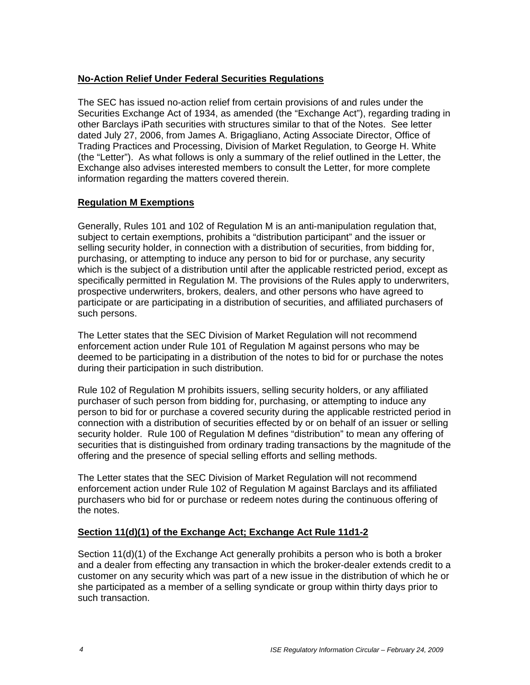### **No-Action Relief Under Federal Securities Regulations**

The SEC has issued no-action relief from certain provisions of and rules under the Securities Exchange Act of 1934, as amended (the "Exchange Act"), regarding trading in other Barclays iPath securities with structures similar to that of the Notes. See letter dated July 27, 2006, from James A. Brigagliano, Acting Associate Director, Office of Trading Practices and Processing, Division of Market Regulation, to George H. White (the "Letter"). As what follows is only a summary of the relief outlined in the Letter, the Exchange also advises interested members to consult the Letter, for more complete information regarding the matters covered therein.

#### **Regulation M Exemptions**

Generally, Rules 101 and 102 of Regulation M is an anti-manipulation regulation that, subject to certain exemptions, prohibits a "distribution participant" and the issuer or selling security holder, in connection with a distribution of securities, from bidding for, purchasing, or attempting to induce any person to bid for or purchase, any security which is the subject of a distribution until after the applicable restricted period, except as specifically permitted in Regulation M. The provisions of the Rules apply to underwriters, prospective underwriters, brokers, dealers, and other persons who have agreed to participate or are participating in a distribution of securities, and affiliated purchasers of such persons.

The Letter states that the SEC Division of Market Regulation will not recommend enforcement action under Rule 101 of Regulation M against persons who may be deemed to be participating in a distribution of the notes to bid for or purchase the notes during their participation in such distribution.

Rule 102 of Regulation M prohibits issuers, selling security holders, or any affiliated purchaser of such person from bidding for, purchasing, or attempting to induce any person to bid for or purchase a covered security during the applicable restricted period in connection with a distribution of securities effected by or on behalf of an issuer or selling security holder. Rule 100 of Regulation M defines "distribution" to mean any offering of securities that is distinguished from ordinary trading transactions by the magnitude of the offering and the presence of special selling efforts and selling methods.

The Letter states that the SEC Division of Market Regulation will not recommend enforcement action under Rule 102 of Regulation M against Barclays and its affiliated purchasers who bid for or purchase or redeem notes during the continuous offering of the notes.

### **Section 11(d)(1) of the Exchange Act; Exchange Act Rule 11d1-2**

Section 11(d)(1) of the Exchange Act generally prohibits a person who is both a broker and a dealer from effecting any transaction in which the broker-dealer extends credit to a customer on any security which was part of a new issue in the distribution of which he or she participated as a member of a selling syndicate or group within thirty days prior to such transaction.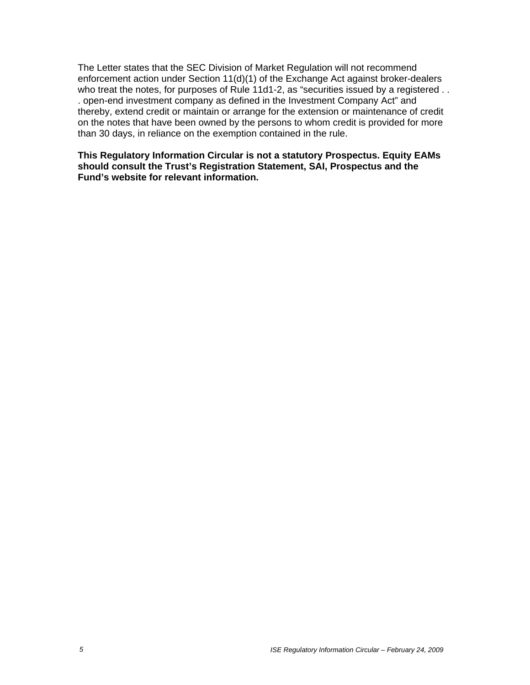The Letter states that the SEC Division of Market Regulation will not recommend enforcement action under Section 11(d)(1) of the Exchange Act against broker-dealers who treat the notes, for purposes of Rule 11d1-2, as "securities issued by a registered . . . open-end investment company as defined in the Investment Company Act" and thereby, extend credit or maintain or arrange for the extension or maintenance of credit on the notes that have been owned by the persons to whom credit is provided for more than 30 days, in reliance on the exemption contained in the rule.

**This Regulatory Information Circular is not a statutory Prospectus. Equity EAMs should consult the Trust's Registration Statement, SAI, Prospectus and the Fund's website for relevant information.**